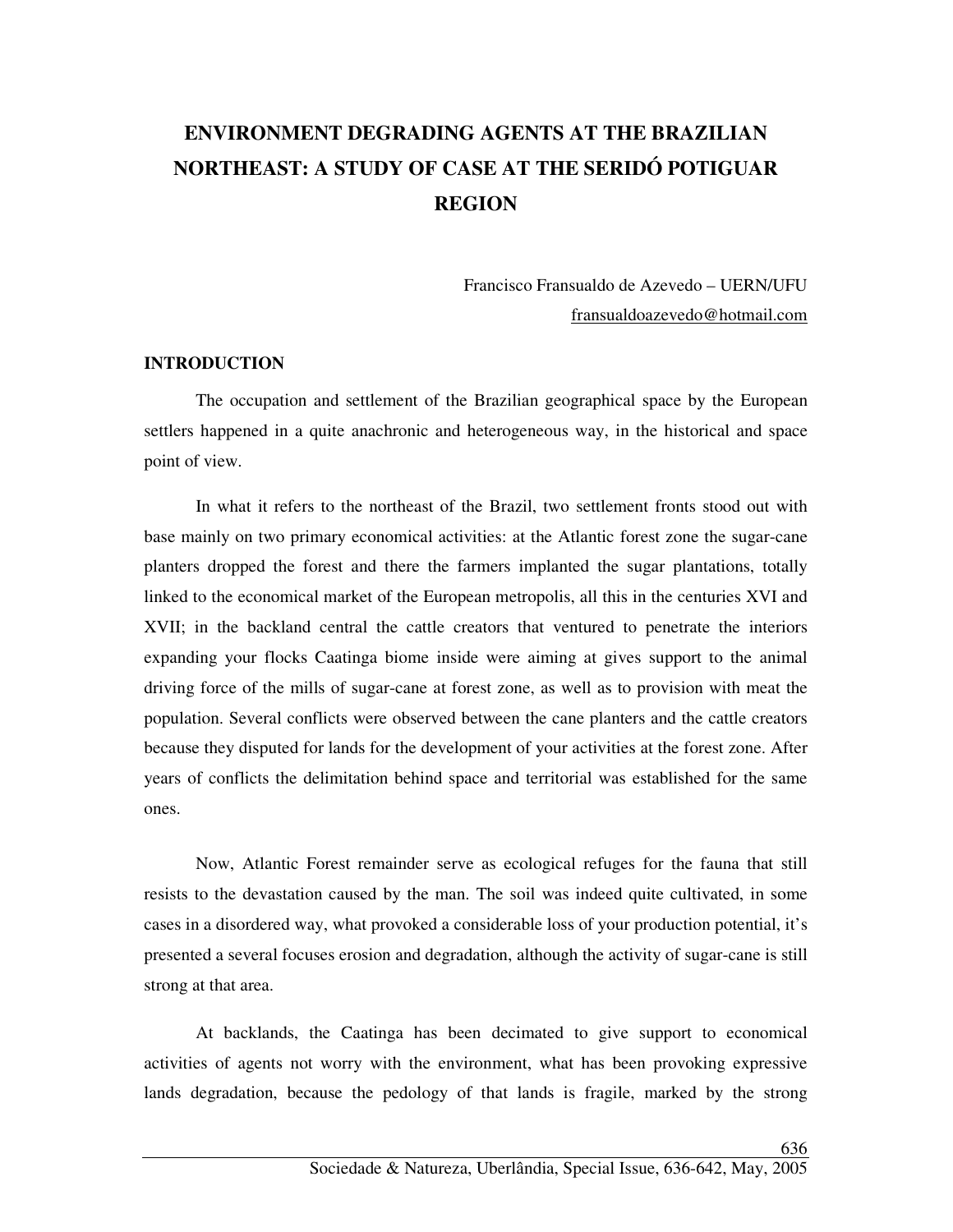# **ENVIRONMENT DEGRADING AGENTS AT THE BRAZILIAN NORTHEAST: A STUDY OF CASE AT THE SERIDÓ POTIGUAR REGION**

Francisco Fransualdo de Azevedo – UERN/UFU fransualdoazevedo@hotmail.com

### **INTRODUCTION**

The occupation and settlement of the Brazilian geographical space by the European settlers happened in a quite anachronic and heterogeneous way, in the historical and space point of view.

In what it refers to the northeast of the Brazil, two settlement fronts stood out with base mainly on two primary economical activities: at the Atlantic forest zone the sugar-cane planters dropped the forest and there the farmers implanted the sugar plantations, totally linked to the economical market of the European metropolis, all this in the centuries XVI and XVII; in the backland central the cattle creators that ventured to penetrate the interiors expanding your flocks Caatinga biome inside were aiming at gives support to the animal driving force of the mills of sugar-cane at forest zone, as well as to provision with meat the population. Several conflicts were observed between the cane planters and the cattle creators because they disputed for lands for the development of your activities at the forest zone. After years of conflicts the delimitation behind space and territorial was established for the same ones.

Now, Atlantic Forest remainder serve as ecological refuges for the fauna that still resists to the devastation caused by the man. The soil was indeed quite cultivated, in some cases in a disordered way, what provoked a considerable loss of your production potential, it's presented a several focuses erosion and degradation, although the activity of sugar-cane is still strong at that area.

At backlands, the Caatinga has been decimated to give support to economical activities of agents not worry with the environment, what has been provoking expressive lands degradation, because the pedology of that lands is fragile, marked by the strong

636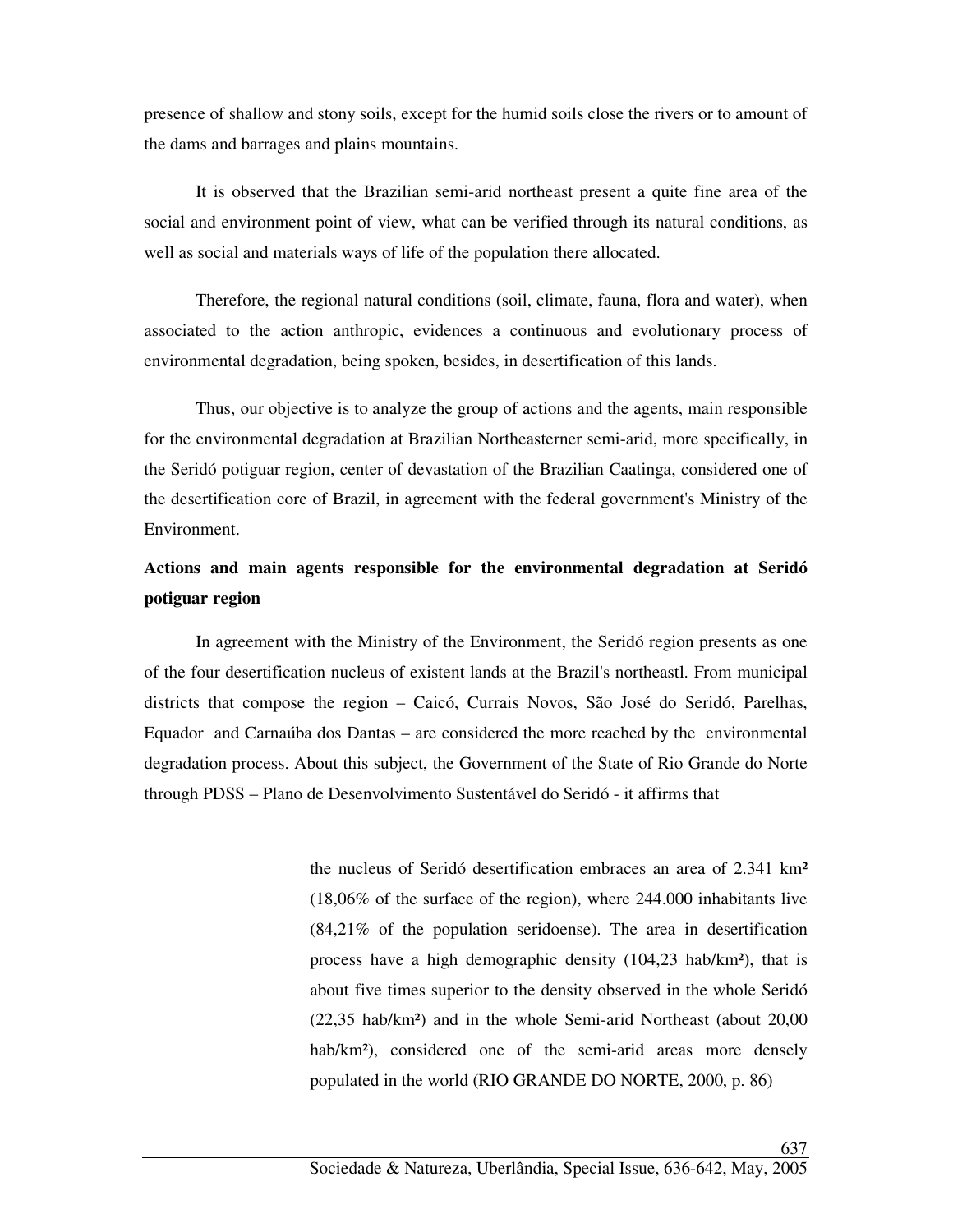presence of shallow and stony soils, except for the humid soils close the rivers or to amount of the dams and barrages and plains mountains.

It is observed that the Brazilian semi-arid northeast present a quite fine area of the social and environment point of view, what can be verified through its natural conditions, as well as social and materials ways of life of the population there allocated.

Therefore, the regional natural conditions (soil, climate, fauna, flora and water), when associated to the action anthropic, evidences a continuous and evolutionary process of environmental degradation, being spoken, besides, in desertification of this lands.

Thus, our objective is to analyze the group of actions and the agents, main responsible for the environmental degradation at Brazilian Northeasterner semi-arid, more specifically, in the Seridó potiguar region, center of devastation of the Brazilian Caatinga, considered one of the desertification core of Brazil, in agreement with the federal government's Ministry of the Environment.

## **Actions and main agents responsible for the environmental degradation at Seridó potiguar region**

In agreement with the Ministry of the Environment, the Seridó region presents as one of the four desertification nucleus of existent lands at the Brazil's northeastl. From municipal districts that compose the region – Caicó, Currais Novos, São José do Seridó, Parelhas, Equador and Carnaúba dos Dantas – are considered the more reached by the environmental degradation process. About this subject, the Government of the State of Rio Grande do Norte through PDSS – Plano de Desenvolvimento Sustentável do Seridó - it affirms that

> the nucleus of Seridó desertification embraces an area of 2.341 km² (18,06% of the surface of the region), where 244.000 inhabitants live (84,21% of the population seridoense). The area in desertification process have a high demographic density (104,23 hab/km²), that is about five times superior to the density observed in the whole Seridó (22,35 hab/km²) and in the whole Semi-arid Northeast (about 20,00 hab/km<sup>2</sup>), considered one of the semi-arid areas more densely populated in the world (RIO GRANDE DO NORTE, 2000, p. 86)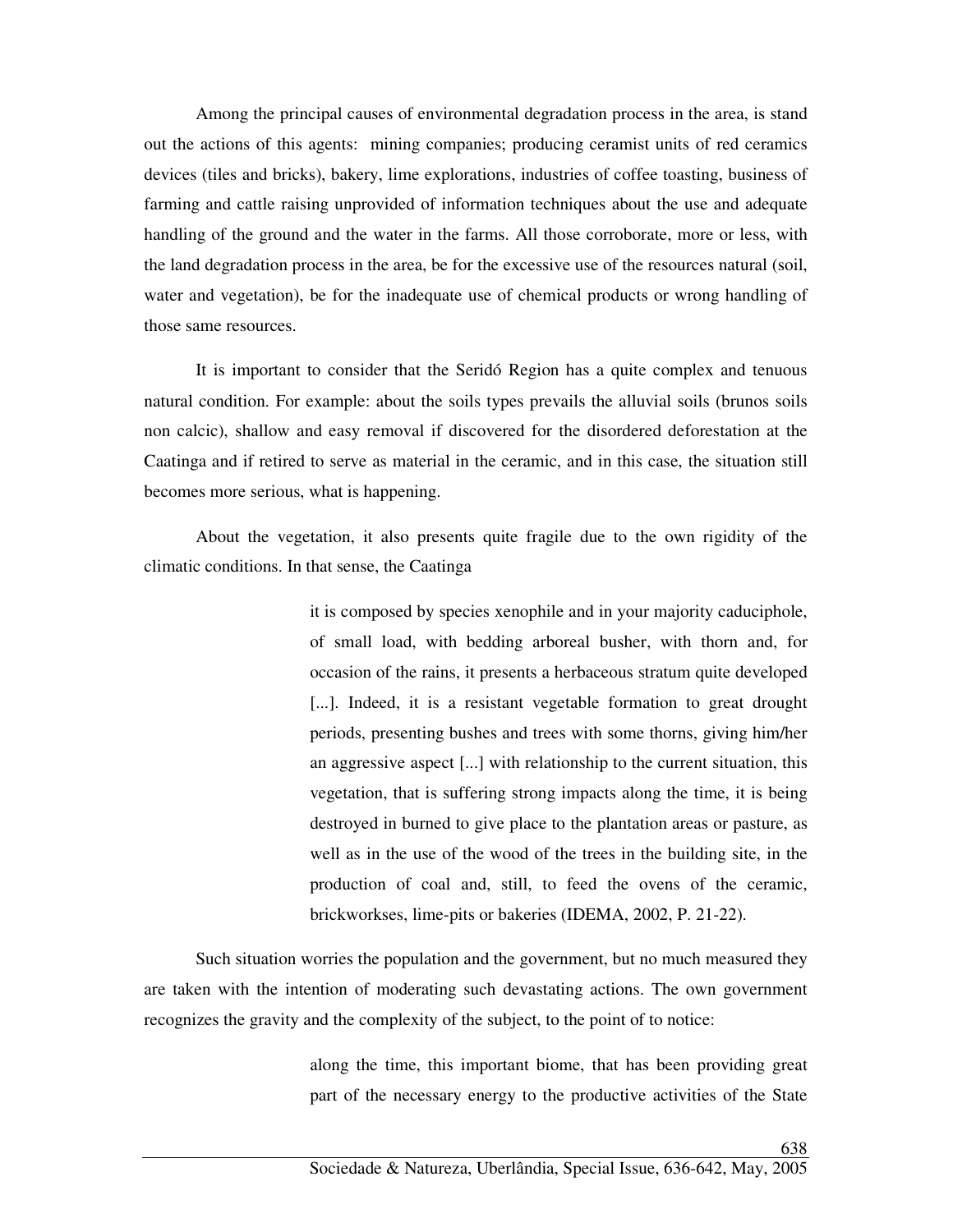Among the principal causes of environmental degradation process in the area, is stand out the actions of this agents: mining companies; producing ceramist units of red ceramics devices (tiles and bricks), bakery, lime explorations, industries of coffee toasting, business of farming and cattle raising unprovided of information techniques about the use and adequate handling of the ground and the water in the farms. All those corroborate, more or less, with the land degradation process in the area, be for the excessive use of the resources natural (soil, water and vegetation), be for the inadequate use of chemical products or wrong handling of those same resources.

It is important to consider that the Seridó Region has a quite complex and tenuous natural condition. For example: about the soils types prevails the alluvial soils (brunos soils non calcic), shallow and easy removal if discovered for the disordered deforestation at the Caatinga and if retired to serve as material in the ceramic, and in this case, the situation still becomes more serious, what is happening.

About the vegetation, it also presents quite fragile due to the own rigidity of the climatic conditions. In that sense, the Caatinga

> it is composed by species xenophile and in your majority caduciphole, of small load, with bedding arboreal busher, with thorn and, for occasion of the rains, it presents a herbaceous stratum quite developed [...]. Indeed, it is a resistant vegetable formation to great drought periods, presenting bushes and trees with some thorns, giving him/her an aggressive aspect [...] with relationship to the current situation, this vegetation, that is suffering strong impacts along the time, it is being destroyed in burned to give place to the plantation areas or pasture, as well as in the use of the wood of the trees in the building site, in the production of coal and, still, to feed the ovens of the ceramic, brickworkses, lime-pits or bakeries (IDEMA, 2002, P. 21-22).

Such situation worries the population and the government, but no much measured they are taken with the intention of moderating such devastating actions. The own government recognizes the gravity and the complexity of the subject, to the point of to notice:

> along the time, this important biome, that has been providing great part of the necessary energy to the productive activities of the State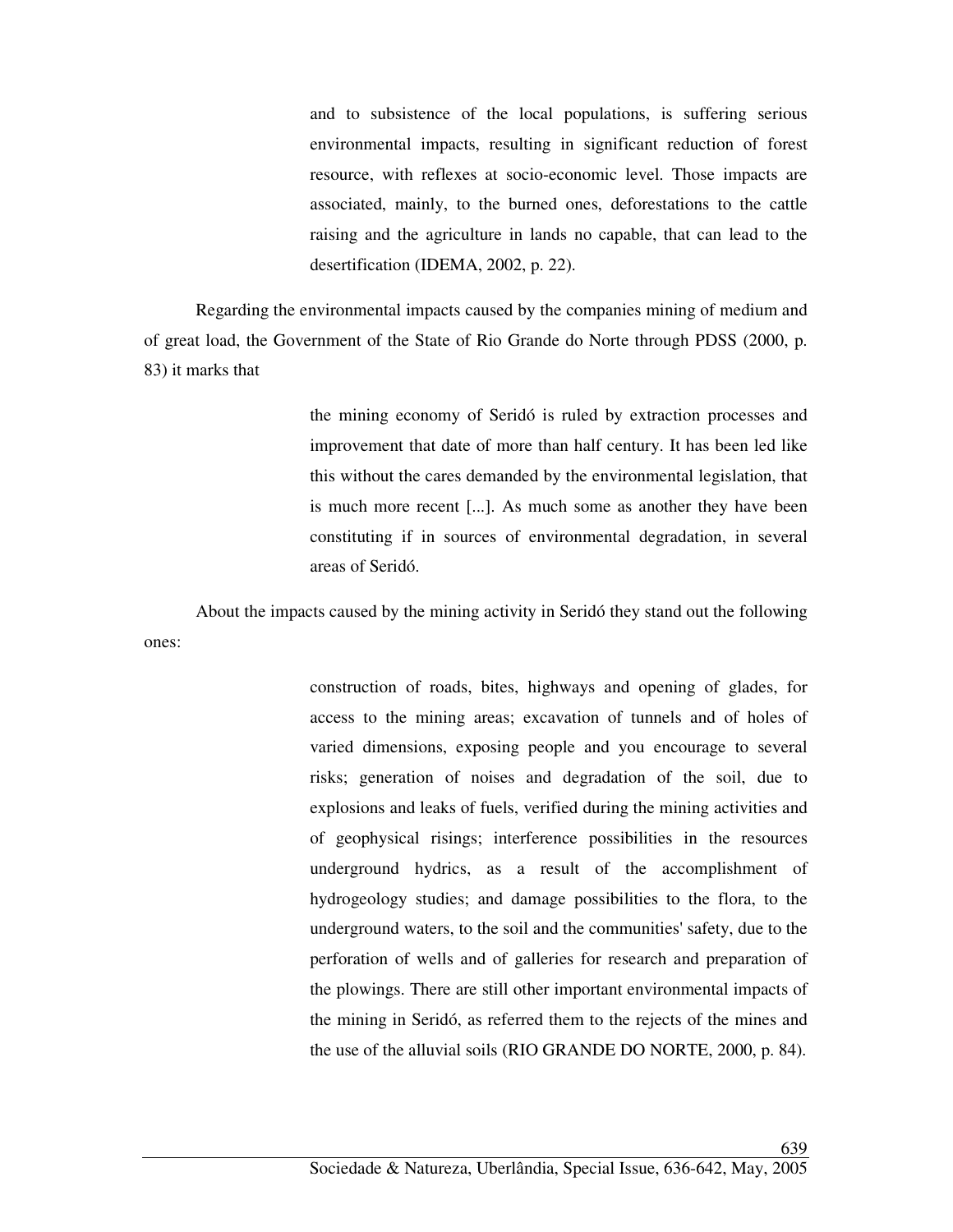and to subsistence of the local populations, is suffering serious environmental impacts, resulting in significant reduction of forest resource, with reflexes at socio-economic level. Those impacts are associated, mainly, to the burned ones, deforestations to the cattle raising and the agriculture in lands no capable, that can lead to the desertification (IDEMA, 2002, p. 22).

Regarding the environmental impacts caused by the companies mining of medium and of great load, the Government of the State of Rio Grande do Norte through PDSS (2000, p. 83) it marks that

> the mining economy of Seridó is ruled by extraction processes and improvement that date of more than half century. It has been led like this without the cares demanded by the environmental legislation, that is much more recent [...]. As much some as another they have been constituting if in sources of environmental degradation, in several areas of Seridó.

About the impacts caused by the mining activity in Seridó they stand out the following ones:

> construction of roads, bites, highways and opening of glades, for access to the mining areas; excavation of tunnels and of holes of varied dimensions, exposing people and you encourage to several risks; generation of noises and degradation of the soil, due to explosions and leaks of fuels, verified during the mining activities and of geophysical risings; interference possibilities in the resources underground hydrics, as a result of the accomplishment of hydrogeology studies; and damage possibilities to the flora, to the underground waters, to the soil and the communities' safety, due to the perforation of wells and of galleries for research and preparation of the plowings. There are still other important environmental impacts of the mining in Seridó, as referred them to the rejects of the mines and the use of the alluvial soils (RIO GRANDE DO NORTE, 2000, p. 84).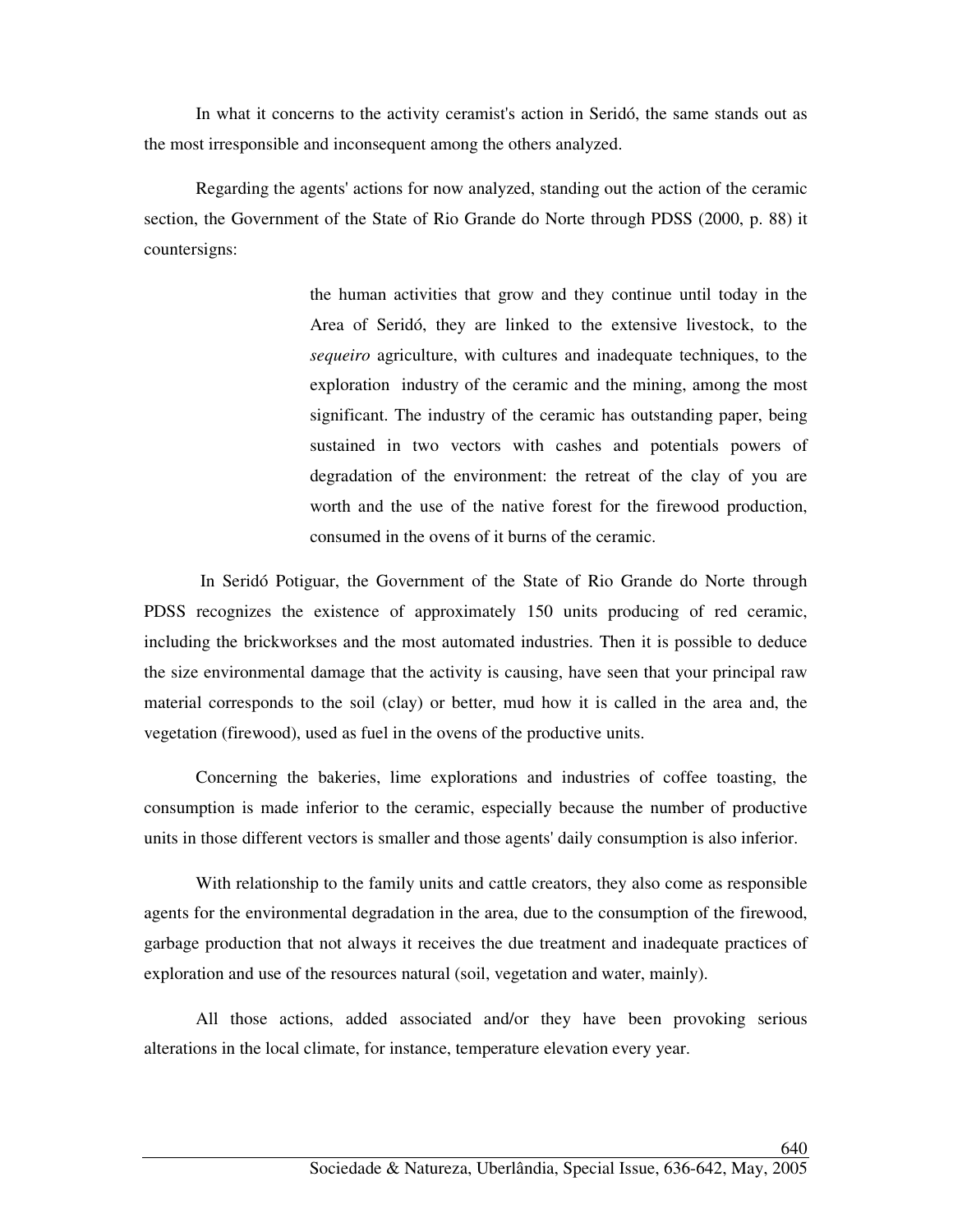In what it concerns to the activity ceramist's action in Seridó, the same stands out as the most irresponsible and inconsequent among the others analyzed.

Regarding the agents' actions for now analyzed, standing out the action of the ceramic section, the Government of the State of Rio Grande do Norte through PDSS (2000, p. 88) it countersigns:

> the human activities that grow and they continue until today in the Area of Seridó, they are linked to the extensive livestock, to the *sequeiro* agriculture, with cultures and inadequate techniques, to the exploration industry of the ceramic and the mining, among the most significant. The industry of the ceramic has outstanding paper, being sustained in two vectors with cashes and potentials powers of degradation of the environment: the retreat of the clay of you are worth and the use of the native forest for the firewood production, consumed in the ovens of it burns of the ceramic.

 In Seridó Potiguar, the Government of the State of Rio Grande do Norte through PDSS recognizes the existence of approximately 150 units producing of red ceramic, including the brickworkses and the most automated industries. Then it is possible to deduce the size environmental damage that the activity is causing, have seen that your principal raw material corresponds to the soil (clay) or better, mud how it is called in the area and, the vegetation (firewood), used as fuel in the ovens of the productive units.

Concerning the bakeries, lime explorations and industries of coffee toasting, the consumption is made inferior to the ceramic, especially because the number of productive units in those different vectors is smaller and those agents' daily consumption is also inferior.

With relationship to the family units and cattle creators, they also come as responsible agents for the environmental degradation in the area, due to the consumption of the firewood, garbage production that not always it receives the due treatment and inadequate practices of exploration and use of the resources natural (soil, vegetation and water, mainly).

All those actions, added associated and/or they have been provoking serious alterations in the local climate, for instance, temperature elevation every year.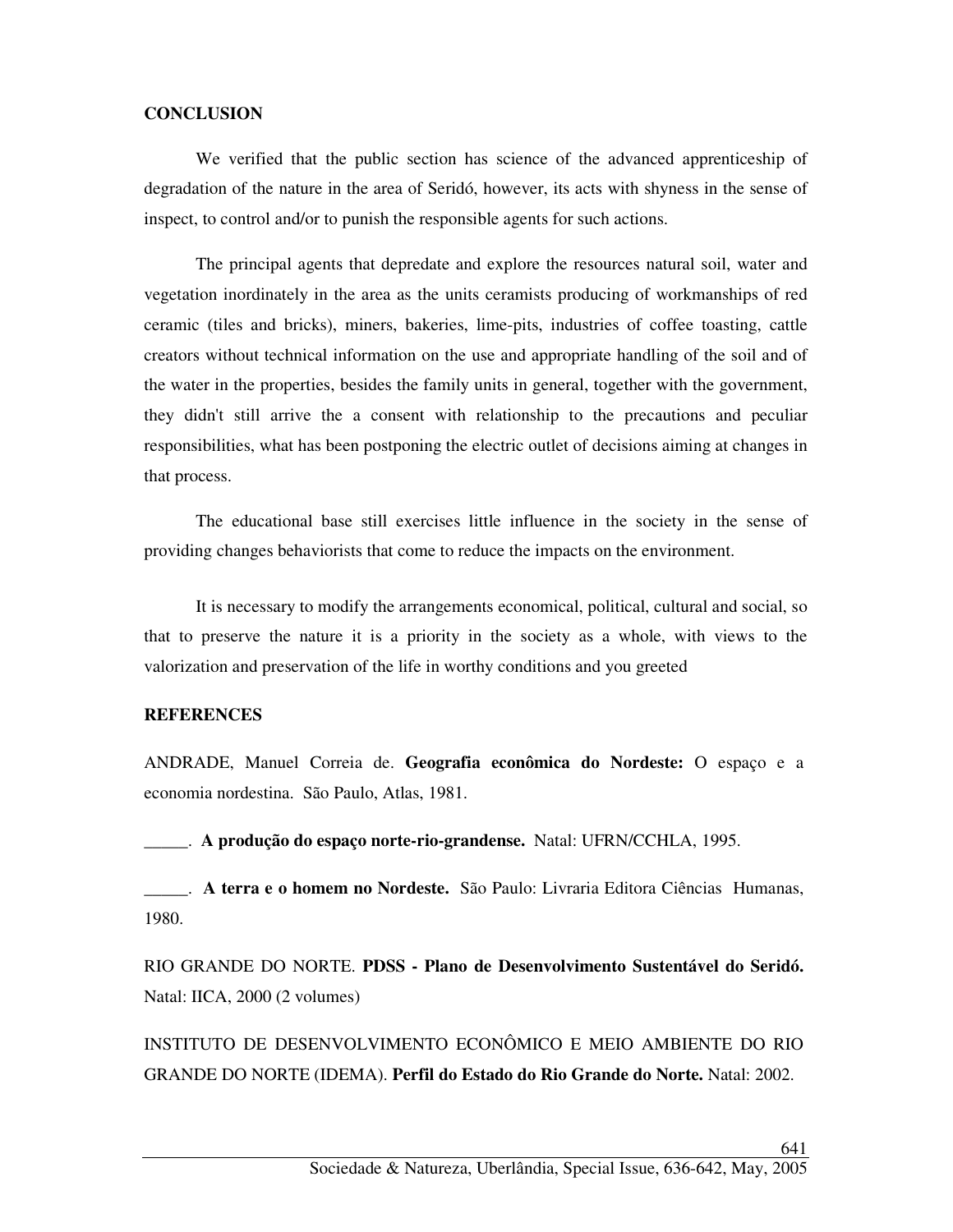### **CONCLUSION**

We verified that the public section has science of the advanced apprenticeship of degradation of the nature in the area of Seridó, however, its acts with shyness in the sense of inspect, to control and/or to punish the responsible agents for such actions.

The principal agents that depredate and explore the resources natural soil, water and vegetation inordinately in the area as the units ceramists producing of workmanships of red ceramic (tiles and bricks), miners, bakeries, lime-pits, industries of coffee toasting, cattle creators without technical information on the use and appropriate handling of the soil and of the water in the properties, besides the family units in general, together with the government, they didn't still arrive the a consent with relationship to the precautions and peculiar responsibilities, what has been postponing the electric outlet of decisions aiming at changes in that process.

The educational base still exercises little influence in the society in the sense of providing changes behaviorists that come to reduce the impacts on the environment.

It is necessary to modify the arrangements economical, political, cultural and social, so that to preserve the nature it is a priority in the society as a whole, with views to the valorization and preservation of the life in worthy conditions and you greeted

### **REFERENCES**

ANDRADE, Manuel Correia de. **Geografia econômica do Nordeste:** O espaço e a economia nordestina. São Paulo, Atlas, 1981.

\_\_\_\_\_. **A produção do espaço norte-rio-grandense.** Natal: UFRN/CCHLA, 1995.

\_\_\_\_\_. **A terra e o homem no Nordeste.** São Paulo: Livraria Editora Ciências Humanas, 1980.

RIO GRANDE DO NORTE. **PDSS - Plano de Desenvolvimento Sustentável do Seridó.**  Natal: IICA, 2000 (2 volumes)

INSTITUTO DE DESENVOLVIMENTO ECONÔMICO E MEIO AMBIENTE DO RIO GRANDE DO NORTE (IDEMA). **Perfil do Estado do Rio Grande do Norte.** Natal: 2002.